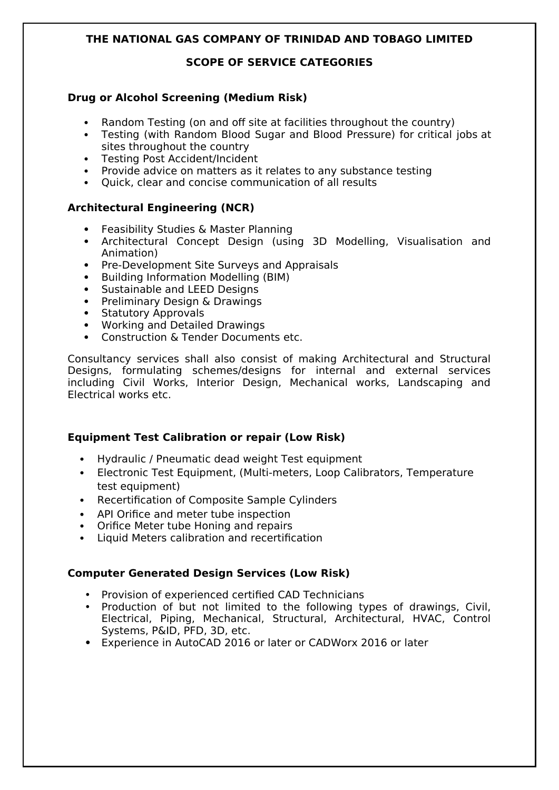## **SCOPE OF SERVICE CATEGORIES**

# **Drug or Alcohol Screening (Medium Risk)**

- Random Testing (on and off site at facilities throughout the country)
- Testing (with Random Blood Sugar and Blood Pressure) for critical jobs at sites throughout the country
- Testing Post Accident/Incident
- Provide advice on matters as it relates to any substance testing
- Quick, clear and concise communication of all results

# **Architectural Engineering (NCR)**

- Feasibility Studies & Master Planning
- Architectural Concept Design (using 3D Modelling, Visualisation and Animation)
- Pre-Development Site Surveys and Appraisals
- Building Information Modelling (BIM)
- Sustainable and LEED Designs
- Preliminary Design & Drawings
- Statutory Approvals
- Working and Detailed Drawings
- Construction & Tender Documents etc.

Consultancy services shall also consist of making Architectural and Structural Designs, formulating schemes/designs for internal and external services including Civil Works, Interior Design, Mechanical works, Landscaping and Electrical works etc.

## **Equipment Test Calibration or repair (Low Risk)**

- Hydraulic / Pneumatic dead weight Test equipment
- Electronic Test Equipment, (Multi-meters, Loop Calibrators, Temperature test equipment)
- Recertification of Composite Sample Cylinders
- API Orifice and meter tube inspection
- Orifice Meter tube Honing and repairs
- Liquid Meters calibration and recertification

## **Computer Generated Design Services (Low Risk)**

- Provision of experienced certified CAD Technicians
- Production of but not limited to the following types of drawings, Civil, Electrical, Piping, Mechanical, Structural, Architectural, HVAC, Control Systems, P&ID, PFD, 3D, etc.
- **•** Experience in AutoCAD 2016 or later or CADWorx 2016 or later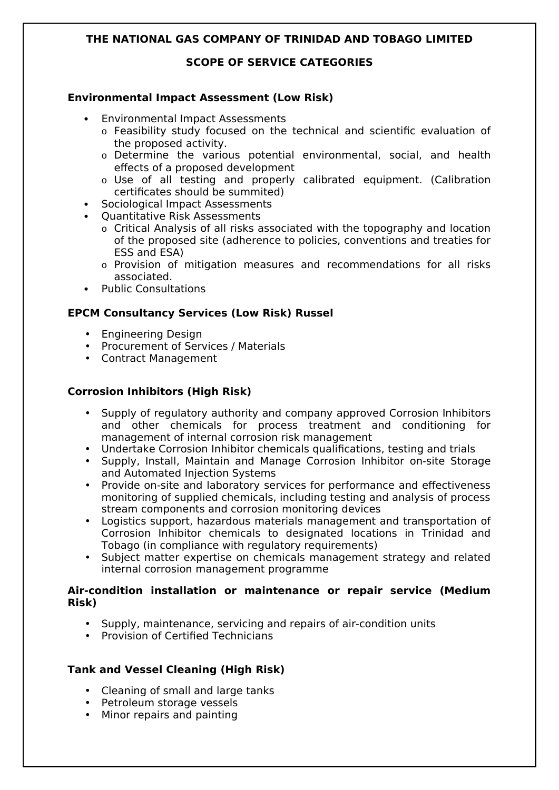## **SCOPE OF SERVICE CATEGORIES**

## **Environmental Impact Assessment (Low Risk)**

- Environmental Impact Assessments
	- o Feasibility study focused on the technical and scientific evaluation of the proposed activity.
	- o Determine the various potential environmental, social, and health effects of a proposed development
	- o Use of all testing and properly calibrated equipment. (Calibration certificates should be summited)
- Sociological Impact Assessments
- Ouantitative Risk Assessments
	- o Critical Analysis of all risks associated with the topography and location of the proposed site (adherence to policies, conventions and treaties for ESS and ESA)
	- o Provision of mitigation measures and recommendations for all risks associated.
- Public Consultations

## **EPCM Consultancy Services (Low Risk) Russel**

- Engineering Design
- Procurement of Services / Materials
- Contract Management

# **Corrosion Inhibitors (High Risk)**

- Supply of regulatory authority and company approved Corrosion Inhibitors and other chemicals for process treatment and conditioning for management of internal corrosion risk management
- Undertake Corrosion Inhibitor chemicals qualifications, testing and trials
- Supply, Install, Maintain and Manage Corrosion Inhibitor on-site Storage and Automated Injection Systems
- Provide on-site and laboratory services for performance and effectiveness monitoring of supplied chemicals, including testing and analysis of process stream components and corrosion monitoring devices
- Logistics support, hazardous materials management and transportation of Corrosion Inhibitor chemicals to designated locations in Trinidad and Tobago (in compliance with regulatory requirements)
- Subject matter expertise on chemicals management strategy and related internal corrosion management programme

#### **Air-condition installation or maintenance or repair service (Medium Risk)**

- Supply, maintenance, servicing and repairs of air-condition units
- Provision of Certified Technicians

## **Tank and Vessel Cleaning (High Risk)**

- Cleaning of small and large tanks
- Petroleum storage vessels
- Minor repairs and painting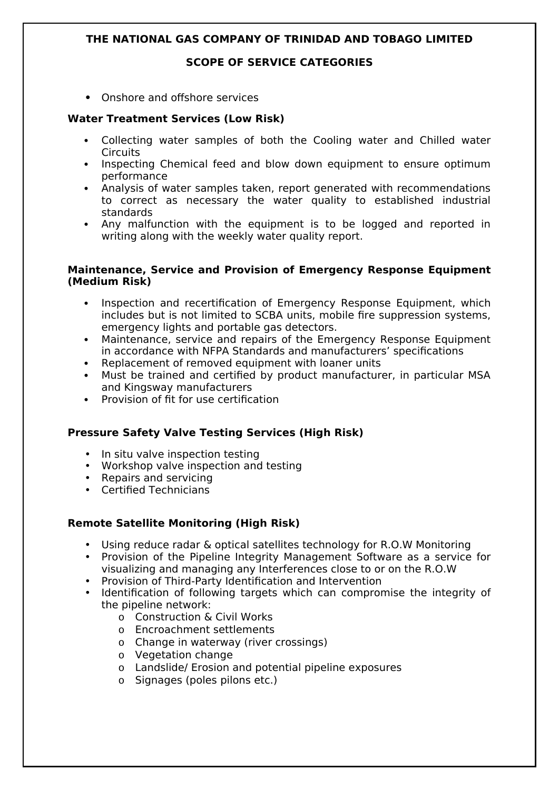#### **SCOPE OF SERVICE CATEGORIES**

**•** Onshore and offshore services

## **Water Treatment Services (Low Risk)**

- Collecting water samples of both the Cooling water and Chilled water **Circuits**
- Inspecting Chemical feed and blow down equipment to ensure optimum performance
- Analysis of water samples taken, report generated with recommendations to correct as necessary the water quality to established industrial standards
- Any malfunction with the equipment is to be logged and reported in writing along with the weekly water quality report.

#### **Maintenance, Service and Provision of Emergency Response Equipment (Medium Risk)**

- Inspection and recertification of Emergency Response Equipment, which includes but is not limited to SCBA units, mobile fire suppression systems, emergency lights and portable gas detectors.
- Maintenance, service and repairs of the Emergency Response Equipment in accordance with NFPA Standards and manufacturers' specifications
- Replacement of removed equipment with loaner units
- Must be trained and certified by product manufacturer, in particular MSA and Kingsway manufacturers
- Provision of fit for use certification

## **Pressure Safety Valve Testing Services (High Risk)**

- In situ valve inspection testing
- Workshop valve inspection and testing
- Repairs and servicing
- Certified Technicians

## **Remote Satellite Monitoring (High Risk)**

- Using reduce radar & optical satellites technology for R.O.W Monitoring
- Provision of the Pipeline Integrity Management Software as a service for visualizing and managing any Interferences close to or on the R.O.W
- Provision of Third-Party Identification and Intervention
- Identification of following targets which can compromise the integrity of the pipeline network:
	- o Construction & Civil Works
	- o Encroachment settlements
	- o Change in waterway (river crossings)
	- o Vegetation change
	- o Landslide/ Erosion and potential pipeline exposures
	- o Signages (poles pilons etc.)